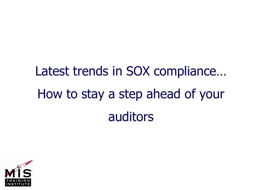# Latest trends in SOX compliance… How to stay a step ahead of your auditors

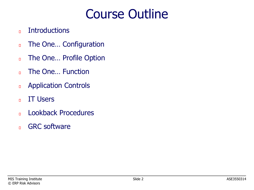# Course Outline

- **Introductions**  $\overline{\mathsf{L}}$
- The One… Configuration  $\Box$
- The One… Profile Option  $\Box$
- The One… Function  $\overline{\mathsf{L}}$
- Application Controls  $\Box$
- IT Users  $\overline{\mathsf{L}}$
- Lookback Procedures  $\overline{\mathsf{L}}$
- GRC software $\Box$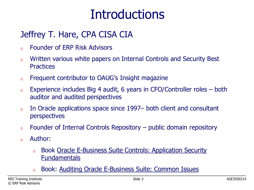### **Introductions**

#### Jeffrey T. Hare, CPA CISA CIA

- Founder of ERP Risk Advisors  $\Box$
- Written various white papers on Internal Controls and Security Best  $\Box$ **Practices**
- Frequent contributor to OAUG's Insight magazine  $\Box$
- Experience includes Big 4 audit, 6 years in CFO/Controller roles both  $\Box$ auditor and audited perspectives
- In Oracle applications space since 1997– both client and consultant  $\Box$ perspectives
- Founder of Internal Controls Repository public domain repository  $\Box$
- Author:  $\Box$ 
	- Book Oracle E-Business Suite Controls: Application Security  $\Box$ Fundamentals
	- Book: Auditing Oracle E-Business Suite: Common Issues $\Box$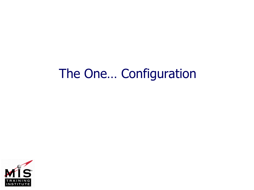#### The One… Configuration

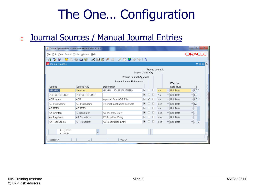# The One… Configuration

#### Journal Sources / Manual Journal Entries

| $\mathbf{x}$<br>o.<br>- 1<br>Solution Beacon Vision 12.1.3                                                                                                              |                         |                              |   |                         |        |     |                         |                          |   |                            |  |  |
|-------------------------------------------------------------------------------------------------------------------------------------------------------------------------|-------------------------|------------------------------|---|-------------------------|--------|-----|-------------------------|--------------------------|---|----------------------------|--|--|
| <b>ORACLE</b><br>File<br>Edit View Folder Tools Window Help                                                                                                             |                         |                              |   |                         |        |     |                         |                          |   |                            |  |  |
| $\bullet \circ \left( \bullet \circ \bullet \bullet \bullet \bullet \right) \times \circ \circ \bullet \bullet \right) \bullet \circ \bullet \circ \bullet \circ \circ$ |                         |                              |   |                         |        |     |                         |                          |   |                            |  |  |
| <b>HOX</b><br>O Journal Sources                                                                                                                                         |                         |                              |   |                         |        |     |                         |                          |   |                            |  |  |
| <b>Freeze</b> Journals<br>Import Using Key                                                                                                                              |                         |                              |   |                         |        |     |                         |                          |   |                            |  |  |
| Require Journal Approval                                                                                                                                                |                         |                              |   |                         |        |     |                         |                          |   |                            |  |  |
| Import Journal References<br>Effective                                                                                                                                  |                         |                              |   |                         |        |     |                         |                          |   |                            |  |  |
| Source                                                                                                                                                                  | Source Key              | Description                  |   |                         |        |     |                         | Date Rule                |   |                            |  |  |
| MANUAL                                                                                                                                                                  | MANUAL                  | MANUAL JOURNAL ENTRY         | ⊽ | п                       | П      | No. |                         | $\mathbf{R}$ l Roll Date |   | ≂∥LCI≜                     |  |  |
| 0106-GL-SOURCE                                                                                                                                                          | 0106-GL-SOURCE          |                              | ⊽ |                         | H      | No. |                         | ▼ Roll Date              |   | ≁∥Ld∣                      |  |  |
| ADP Import                                                                                                                                                              | <b>ADP</b>              | Imported from ADP File       | ⊽ | $\overline{\mathbf{v}}$ |        | No. | $\overline{\mathbf{v}}$ | Roll Date                |   | ≁∥LC∣                      |  |  |
| AL Purchasing                                                                                                                                                           | AL Purchasing           | External purchasing accruals | ⊽ |                         |        | Yes | $\overline{\mathbf{v}}$ | Roll Date                |   | $\overline{\mathbf{r}}$ Rd |  |  |
| <b>ASSETS</b>                                                                                                                                                           | <b>ASSETS</b>           |                              | ⊽ |                         |        | No. | ÷                       | Roll Date                | ٠ |                            |  |  |
| AX Inventory                                                                                                                                                            | <b>IC Translator</b>    | AX Inventory Entry           | ⊽ | H                       | $\Box$ | Yes |                         | ▼ Roll Date              | ÷ |                            |  |  |
| AX Payables                                                                                                                                                             | AP Translator           | AX Payables Entry            | ⊽ |                         |        | Yes |                         | ▼ Roll Date              | ÷ |                            |  |  |
| AX Receivables                                                                                                                                                          | <b>AR</b> Translator    | AX Receivables Entry         | ⊽ |                         |        | Yes |                         | ▼ Roll Date              | ٠ |                            |  |  |
|                                                                                                                                                                         |                         |                              |   |                         |        |     |                         |                          |   |                            |  |  |
| $+$ System<br>$+$ Other                                                                                                                                                 | $\overline{\mathbf{v}}$ |                              |   |                         |        |     |                         |                          |   |                            |  |  |
| Record: 1/?                                                                                                                                                             | $\cdots$                | <0SC>                        |   |                         |        |     |                         |                          |   |                            |  |  |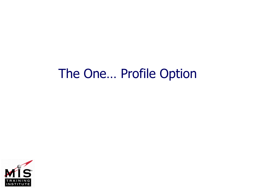#### The One… Profile Option

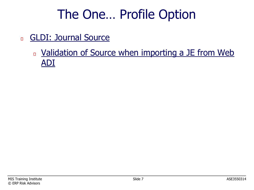# The One… Profile Option

- GLDI: Journal Source  $\Box$ 
	- In Validation of Source when importing a JE from Web ADI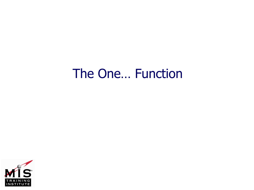#### The One… Function

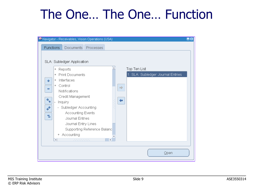# The One… The One… Function

|                                |                                      | W Navigator - Receivables, Vision Operations (USA)                                                                                                                                                                                                              |                             |                    |              |                                   | $-k$ |
|--------------------------------|--------------------------------------|-----------------------------------------------------------------------------------------------------------------------------------------------------------------------------------------------------------------------------------------------------------------|-----------------------------|--------------------|--------------|-----------------------------------|------|
| <b>Functions</b>               |                                      | Documents                                                                                                                                                                                                                                                       | Processes                   |                    |              |                                   |      |
| ÷<br>$\equiv$<br>÷.,<br>中<br>2 | $^{+}$<br>$^{+}$<br>$^{+}$<br>$^{+}$ | SLA: Subledger Application<br>Reports<br><b>Print Documents</b><br>Interfaces<br>Control<br>Notifications<br>Credit Management<br>Inquiry<br>- Subledger Accounting<br>Accounting Events<br>Journal Entries<br>Journal Entry Lines<br>+ Accounting<br>222222222 | Supporting Reference Balanc | $\Rightarrow$<br>⊨ | Top Ten List | 1. SLA: Subledger Journal Entries |      |
|                                |                                      |                                                                                                                                                                                                                                                                 |                             |                    |              | Qpen                              |      |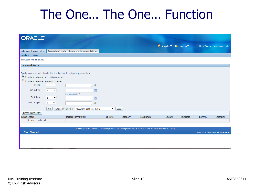#### The One… The One… Function

| <b>ORACLE</b>                                                                                                                                          |                                                                                                                                         |                                                                                                                                                                                     |                          |          |                                                                                                         |                                                                                                               |                  |                |                                                 |  |
|--------------------------------------------------------------------------------------------------------------------------------------------------------|-----------------------------------------------------------------------------------------------------------------------------------------|-------------------------------------------------------------------------------------------------------------------------------------------------------------------------------------|--------------------------|----------|---------------------------------------------------------------------------------------------------------|---------------------------------------------------------------------------------------------------------------|------------------|----------------|-------------------------------------------------|--|
|                                                                                                                                                        |                                                                                                                                         |                                                                                                                                                                                     |                          |          |                                                                                                         | $\overrightarrow{\mathbf{n}}$ Navigator $\overrightarrow{\mathbf{r}}$ Favorites $\overrightarrow{\mathbf{r}}$ |                  |                | Close Window Preferences Help                   |  |
| Subledger Journal Entries   Accounting Events                                                                                                          |                                                                                                                                         | <b>Supporting Reference Balances</b>                                                                                                                                                |                          |          |                                                                                                         |                                                                                                               |                  |                |                                                 |  |
| Headers   Lines                                                                                                                                        |                                                                                                                                         |                                                                                                                                                                                     |                          |          |                                                                                                         |                                                                                                               |                  |                |                                                 |  |
| <b>Subledger Journal Entries</b>                                                                                                                       |                                                                                                                                         |                                                                                                                                                                                     |                          |          |                                                                                                         |                                                                                                               |                  |                |                                                 |  |
| <b>Advanced Search</b>                                                                                                                                 |                                                                                                                                         |                                                                                                                                                                                     |                          |          |                                                                                                         |                                                                                                               |                  |                |                                                 |  |
| Show table data when all conditions are met.<br>Show table data when any condition is met.<br>Ledger<br>From GL Date<br>To GL Date<br>Journal Category | is<br>$\overline{\phantom{a}}$<br>is<br>$\overline{\phantom{a}}$<br>is.<br>$\blacktriangledown$<br>is<br>$\overline{\phantom{a}}$<br>Go | Specify parameters and values to filter the data that is displayed in your results set.<br>۹<br>E<br>(example: 13-Jul-2011)<br>E<br>Q<br>Clear Add Another Accounting Sequence Name | $\overline{\phantom{a}}$ | Add      |                                                                                                         |                                                                                                               |                  |                |                                                 |  |
| Create Journal Entry                                                                                                                                   |                                                                                                                                         |                                                                                                                                                                                     |                          |          |                                                                                                         |                                                                                                               |                  |                |                                                 |  |
| <b>Select Ledger</b>                                                                                                                                   |                                                                                                                                         | <b>Journal Entry Status</b>                                                                                                                                                         | <b>GL</b> Date           | Category | <b>Description</b>                                                                                      | <b>Update</b>                                                                                                 | <b>Duplicate</b> | <b>Reverse</b> | Complete                                        |  |
| No search conducted.                                                                                                                                   |                                                                                                                                         |                                                                                                                                                                                     |                          |          |                                                                                                         |                                                                                                               |                  |                |                                                 |  |
|                                                                                                                                                        |                                                                                                                                         |                                                                                                                                                                                     |                          |          |                                                                                                         |                                                                                                               |                  |                |                                                 |  |
| <b>Privacy Statement</b>                                                                                                                               |                                                                                                                                         |                                                                                                                                                                                     |                          |          | Subledger Journal Entries Accounting Events Supporting Reference Balances Close Window Preferences Help |                                                                                                               |                  |                | Copyright (c) 2006, Oracle. All rights reserved |  |
|                                                                                                                                                        |                                                                                                                                         |                                                                                                                                                                                     |                          |          |                                                                                                         |                                                                                                               |                  |                |                                                 |  |
|                                                                                                                                                        |                                                                                                                                         |                                                                                                                                                                                     |                          |          |                                                                                                         |                                                                                                               |                  |                |                                                 |  |
|                                                                                                                                                        |                                                                                                                                         |                                                                                                                                                                                     |                          |          |                                                                                                         |                                                                                                               |                  |                |                                                 |  |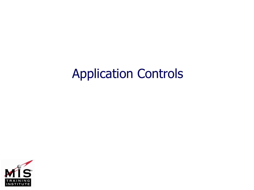#### Application Controls

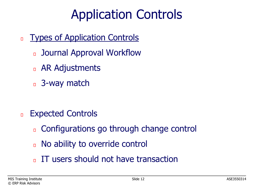# Application Controls

- Types of Application Controls  $\Box$ 
	- Journal Approval Workflow  $\Box$
	- AR Adjustments
	- **B** 3-way match

- Expected Controls  $\Box$ 
	- Configurations go through change control  $\Box$
	- No ability to override control  $\Box$
	- IT users should not have transaction $\Box$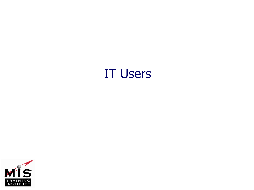#### IT Users

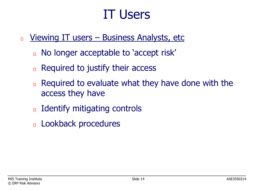### IT Users

- Viewing IT users Business Analysts, etc  $\Box$ 
	- No longer acceptable to 'accept risk'  $\Box$
	- Required to justify their access  $\Box$
	- Required to evaluate what they have done with the  $\Box$ access they have
	- Identify mitigating controls  $\Box$
	- Lookback procedures $\Box$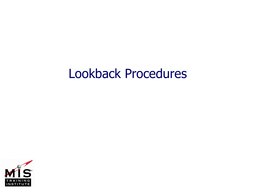#### Lookback Procedures

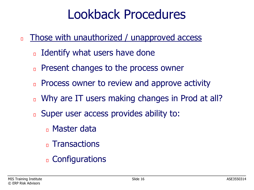# Lookback Procedures

- Those with unauthorized / unapproved access  $\Box$ 
	- Identify what users have done  $\Box$
	- Present changes to the process owner  $\Box$
	- Process owner to review and approve activity  $\Box$
	- Why are IT users making changes in Prod at all?  $\Box$
	- Super user access provides ability to:  $\Box$ 
		- n Master data
		- n Transactions
		- Configurations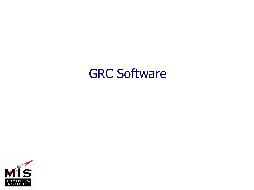#### GRC Software

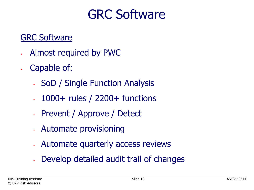### GRC Software

#### GRC Software

- Almost required by PWC
- Capable of:
	- SoD / Single Function Analysis
	- 1000+ rules / 2200+ functions
	- Prevent / Approve / Detect
	- Automate provisioning
	- Automate quarterly access reviews
	- Develop detailed audit trail of changes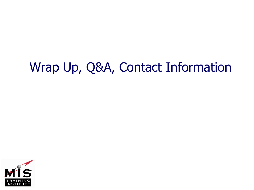# Wrap Up, Q&A, Contact Information

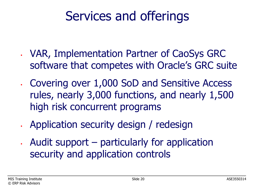# Services and offerings

- VAR, Implementation Partner of CaoSys GRC software that competes with Oracle's GRC suite
- Covering over 1,000 SoD and Sensitive Access rules, nearly 3,000 functions, and nearly 1,500 high risk concurrent programs
- Application security design / redesign
- Audit support particularly for application security and application controls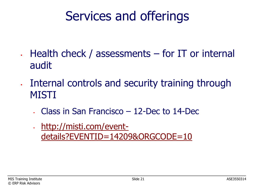# Services and offerings

- Health check / assessments for IT or internal audit
- Internal controls and security training through MISTI
	- Class in San Francisco 12-Dec to 14-Dec
	- http://misti.com/event[details?EVENTID=14209&ORGCODE=10](http://misti.com/event-details?EVENTID=14209&ORGCODE=10)